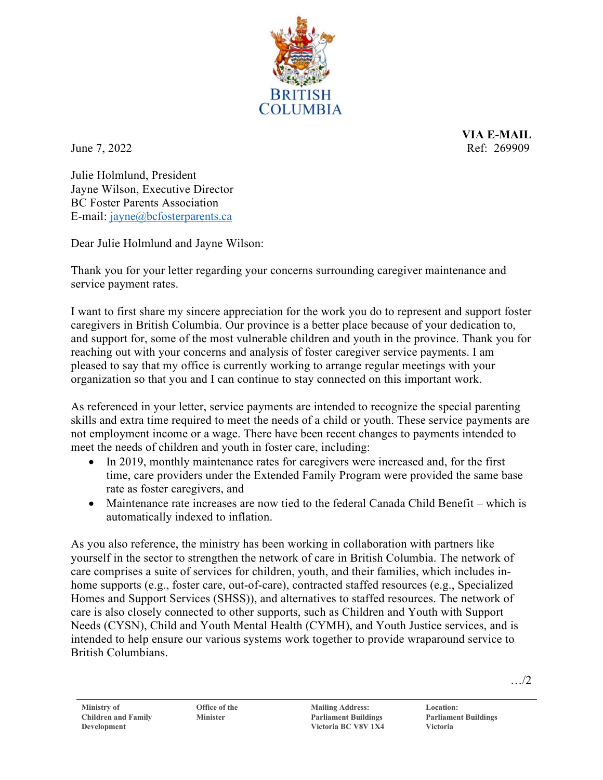

**VIA E-MAIL** June 7, 2022 Ref: 269909

Julie Holmlund, President Jayne Wilson, Executive Director BC Foster Parents Association E-mail: [jayne@bcfosterparents.ca](mailto:jayne@bcfosterparents.ca)

Dear Julie Holmlund and Jayne Wilson:

Thank you for your letter regarding your concerns surrounding caregiver maintenance and service payment rates.

I want to first share my sincere appreciation for the work you do to represent and support foster caregivers in British Columbia. Our province is a better place because of your dedication to, and support for, some of the most vulnerable children and youth in the province. Thank you for reaching out with your concerns and analysis of foster caregiver service payments. I am pleased to say that my office is currently working to arrange regular meetings with your organization so that you and I can continue to stay connected on this important work.

As referenced in your letter, service payments are intended to recognize the special parenting skills and extra time required to meet the needs of a child or youth. These service payments are not employment income or a wage. There have been recent changes to payments intended to meet the needs of children and youth in foster care, including:

- In 2019, monthly maintenance rates for caregivers were increased and, for the first time, care providers under the Extended Family Program were provided the same base rate as foster caregivers, and
- Maintenance rate increases are now tied to the federal Canada Child Benefit which is automatically indexed to inflation.

As you also reference, the ministry has been working in collaboration with partners like yourself in the sector to strengthen the network of care in British Columbia. The network of care comprises a suite of services for children, youth, and their families, which includes inhome supports (e.g., foster care, out-of-care), contracted staffed resources (e.g., Specialized Homes and Support Services (SHSS)), and alternatives to staffed resources. The network of care is also closely connected to other supports, such as Children and Youth with Support Needs (CYSN), Child and Youth Mental Health (CYMH), and Youth Justice services, and is intended to help ensure our various systems work together to provide wraparound service to British Columbians.